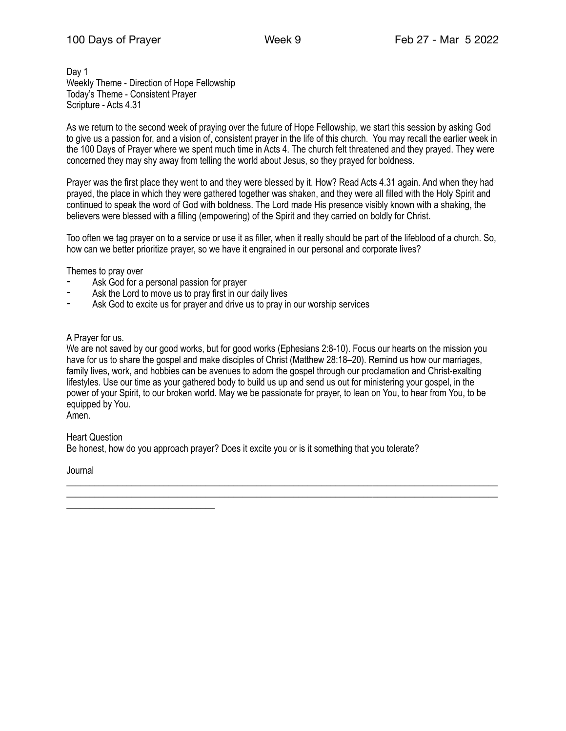Day 1 Weekly Theme - Direction of Hope Fellowship Today's Theme - Consistent Prayer Scripture - Acts 4.31

As we return to the second week of praying over the future of Hope Fellowship, we start this session by asking God to give us a passion for, and a vision of, consistent prayer in the life of this church. You may recall the earlier week in the 100 Days of Prayer where we spent much time in Acts 4. The church felt threatened and they prayed. They were concerned they may shy away from telling the world about Jesus, so they prayed for boldness.

Prayer was the first place they went to and they were blessed by it. How? Read Acts 4.31 again. And when they had prayed, the place in which they were gathered together was shaken, and they were all filled with the Holy Spirit and continued to speak the word of God with boldness. The Lord made His presence visibly known with a shaking, the believers were blessed with a filling (empowering) of the Spirit and they carried on boldly for Christ.

Too often we tag prayer on to a service or use it as filler, when it really should be part of the lifeblood of a church. So, how can we better prioritize prayer, so we have it engrained in our personal and corporate lives?

Themes to pray over

- Ask God for a personal passion for prayer
- Ask the Lord to move us to pray first in our daily lives
- ⁃ Ask God to excite us for prayer and drive us to pray in our worship services

#### A Prayer for us.

We are not saved by our good works, but for good works (Ephesians 2:8-10). Focus our hearts on the mission you have for us to share the gospel and make disciples of Christ (Matthew 28:18–20). Remind us how our marriages, family lives, work, and hobbies can be avenues to adorn the gospel through our proclamation and Christ-exalting lifestyles. Use our time as your gathered body to build us up and send us out for ministering your gospel, in the power of your Spirit, to our broken world. May we be passionate for prayer, to lean on You, to hear from You, to be equipped by You.

\_\_\_\_\_\_\_\_\_\_\_\_\_\_\_\_\_\_\_\_\_\_\_\_\_\_\_\_\_\_\_\_\_\_\_\_\_\_\_\_\_\_\_\_\_\_\_\_\_\_\_\_\_\_\_\_\_\_\_\_\_\_\_\_\_\_\_\_\_\_\_\_\_\_\_\_\_\_\_\_\_\_\_\_\_\_\_\_\_\_\_\_\_

Amen.

Heart Question Be honest, how do you approach prayer? Does it excite you or is it something that you tolerate?

Journal

\_\_\_\_\_\_\_\_\_\_\_\_\_\_\_\_\_\_\_\_\_\_\_\_\_\_\_\_\_\_\_\_\_\_\_\_\_\_\_\_\_\_\_\_\_\_\_\_\_\_\_\_\_\_\_\_\_\_\_\_\_\_\_\_\_\_\_\_\_\_\_\_\_\_\_\_\_\_\_\_\_\_\_\_\_\_\_\_\_\_\_\_\_ \_\_\_\_\_\_\_\_\_\_\_\_\_\_\_\_\_\_\_\_\_\_\_\_\_\_\_\_\_\_\_\_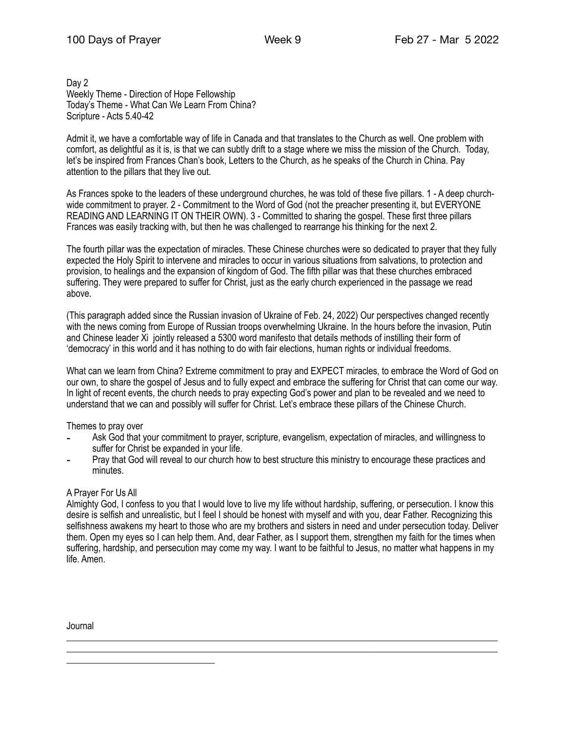Day 2 Weekly Theme - Direction of Hope Fellowship Today's Theme - What Can We Learn From China? Scripture - Acts 5.40-42

Admit it, we have a comfortable way of life in Canada and that translates to the Church as well. One problem with comfort, as delightful as it is, is that we can subtly drift to a stage where we miss the mission of the Church. Today, let's be inspired from Frances Chan's book, Letters to the Church, as he speaks of the Church in China. Pay attention to the pillars that they live out.

As Frances spoke to the leaders of these underground churches, he was told of these five pillars. 1 - A deep churchwide commitment to prayer. 2 - Commitment to the Word of God (not the preacher presenting it, but EVERYONE READING AND LEARNING IT ON THEIR OWN). 3 - Committed to sharing the gospel. These first three pillars Frances was easily tracking with, but then he was challenged to rearrange his thinking for the next 2.

The fourth pillar was the expectation of miracles. These Chinese churches were so dedicated to prayer that they fully expected the Holy Spirit to intervene and miracles to occur in various situations from salvations, to protection and provision, to healings and the expansion of kingdom of God. The fifth pillar was that these churches embraced suffering. They were prepared to suffer for Christ, just as the early church experienced in the passage we read above.

(This paragraph added since the Russian invasion of Ukraine of Feb. 24, 2022) Our perspectives changed recently with the news coming from Europe of Russian troops overwhelming Ukraine. In the hours before the invasion, Putin and Chinese leader Xi jointly released a 5300 word manifesto that details methods of instilling their form of 'democracy' in this world and it has nothing to do with fair elections, human rights or individual freedoms.

What can we learn from China? Extreme commitment to pray and EXPECT miracles, to embrace the Word of God on our own, to share the gospel of Jesus and to fully expect and embrace the suffering for Christ that can come our way. In light of recent events, the church needs to pray expecting God's power and plan to be revealed and we need to understand that we can and possibly will suffer for Christ. Let's embrace these pillars of the Chinese Church.

Themes to pray over

- Ask God that your commitment to prayer, scripture, evangelism, expectation of miracles, and willingness to suffer for Christ be expanded in your life.
- Pray that God will reveal to our church how to best structure this ministry to encourage these practices and minutes.

## A Prayer For Us All

Almighty God, I confess to you that I would love to live my life without hardship, suffering, or persecution. I know this desire is selfish and unrealistic, but I feel I should be honest with myself and with you, dear Father. Recognizing this selfishness awakens my heart to those who are my brothers and sisters in need and under persecution today. Deliver them. Open my eyes so I can help them. And, dear Father, as I support them, strengthen my faith for the times when suffering, hardship, and persecution may come my way. I want to be faithful to Jesus, no matter what happens in my life. Amen.

\_\_\_\_\_\_\_\_\_\_\_\_\_\_\_\_\_\_\_\_\_\_\_\_\_\_\_\_\_\_\_\_\_\_\_\_\_\_\_\_\_\_\_\_\_\_\_\_\_\_\_\_\_\_\_\_\_\_\_\_\_\_\_\_\_\_\_\_\_\_\_\_\_\_\_\_\_\_\_\_\_\_\_\_\_\_\_\_\_\_\_\_\_ \_\_\_\_\_\_\_\_\_\_\_\_\_\_\_\_\_\_\_\_\_\_\_\_\_\_\_\_\_\_\_\_\_\_\_\_\_\_\_\_\_\_\_\_\_\_\_\_\_\_\_\_\_\_\_\_\_\_\_\_\_\_\_\_\_\_\_\_\_\_\_\_\_\_\_\_\_\_\_\_\_\_\_\_\_\_\_\_\_\_\_\_\_

Journal

\_\_\_\_\_\_\_\_\_\_\_\_\_\_\_\_\_\_\_\_\_\_\_\_\_\_\_\_\_\_\_\_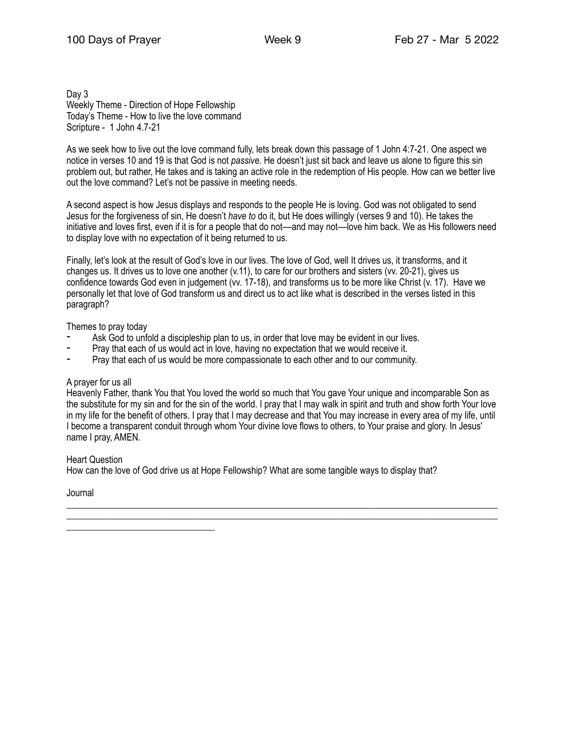Day 3 Weekly Theme - Direction of Hope Fellowship Today's Theme - How to live the love command Scripture - 1 John 4.7-21

As we seek how to live out the love command fully, lets break down this passage of 1 John 4:7-21. One aspect we notice in verses 10 and 19 is that God is not *passive.* He doesn't just sit back and leave us alone to figure this sin problem out, but rather, He takes and is taking an active role in the redemption of His people. How can we better live out the love command? Let's not be passive in meeting needs.

A second aspect is how Jesus displays and responds to the people He is loving. God was not obligated to send Jesus for the forgiveness of sin, He doesn't *have to* do it, but He does willingly (verses 9 and 10). He takes the initiative and loves first, even if it is for a people that do not—and may not—love him back. We as His followers need to display love with no expectation of it being returned to us.

Finally, let's look at the result of God's love in our lives. The love of God, well It drives us, it transforms, and it changes us. It drives us to love one another (v.11), to care for our brothers and sisters (vv. 20-21), gives us confidence towards God even in judgement (vv. 17-18), and transforms us to be more like Christ (v. 17). Have we personally let that love of God transform us and direct us to act like what is described in the verses listed in this paragraph?

Themes to pray today

- Ask God to unfold a discipleship plan to us, in order that love may be evident in our lives.
- Pray that each of us would act in love, having no expectation that we would receive it.
- Pray that each of us would be more compassionate to each other and to our community.

#### A prayer for us all

Heavenly Father, thank You that You loved the world so much that You gave Your unique and incomparable Son as the substitute for my sin and for the sin of the world. I pray that I may walk in spirit and truth and show forth Your love in my life for the benefit of others. I pray that I may decrease and that You may increase in every area of my life, until I become a transparent conduit through whom Your divine love flows to others, to Your praise and glory. In Jesus' name I pray, AMEN.

\_\_\_\_\_\_\_\_\_\_\_\_\_\_\_\_\_\_\_\_\_\_\_\_\_\_\_\_\_\_\_\_\_\_\_\_\_\_\_\_\_\_\_\_\_\_\_\_\_\_\_\_\_\_\_\_\_\_\_\_\_\_\_\_\_\_\_\_\_\_\_\_\_\_\_\_\_\_\_\_\_\_\_\_\_\_\_\_\_\_\_\_\_ \_\_\_\_\_\_\_\_\_\_\_\_\_\_\_\_\_\_\_\_\_\_\_\_\_\_\_\_\_\_\_\_\_\_\_\_\_\_\_\_\_\_\_\_\_\_\_\_\_\_\_\_\_\_\_\_\_\_\_\_\_\_\_\_\_\_\_\_\_\_\_\_\_\_\_\_\_\_\_\_\_\_\_\_\_\_\_\_\_\_\_\_\_

Heart Question

\_\_\_\_\_\_\_\_\_\_\_\_\_\_\_\_\_\_\_\_\_\_\_\_\_\_\_\_\_\_\_\_

How can the love of God drive us at Hope Fellowship? What are some tangible ways to display that?

Journal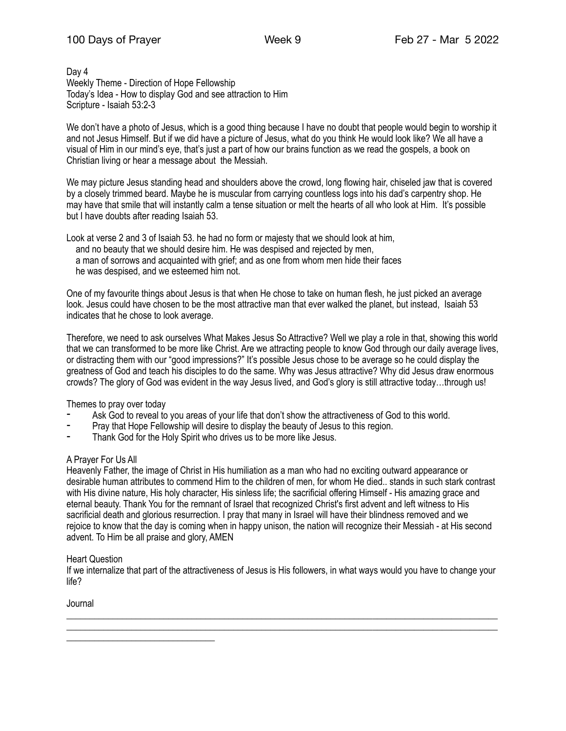#### Day 4 Weekly Theme - Direction of Hope Fellowship Today's Idea - How to display God and see attraction to Him Scripture - Isaiah 53:2-3

We don't have a photo of Jesus, which is a good thing because I have no doubt that people would begin to worship it and not Jesus Himself. But if we did have a picture of Jesus, what do you think He would look like? We all have a visual of Him in our mind's eye, that's just a part of how our brains function as we read the gospels, a book on Christian living or hear a message about the Messiah.

We may picture Jesus standing head and shoulders above the crowd, long flowing hair, chiseled jaw that is covered by a closely trimmed beard. Maybe he is muscular from carrying countless logs into his dad's carpentry shop. He may have that smile that will instantly calm a tense situation or melt the hearts of all who look at Him. It's possible but I have doubts after reading Isaiah 53.

Look at verse 2 and 3 of Isaiah 53. he had no form or majesty that we should look at him, and no beauty that we should desire him. He was despised and rejected by men, a man of sorrows and acquainted with grief; and as one from whom men hide their faces he was despised, and we esteemed him not.

One of my favourite things about Jesus is that when He chose to take on human flesh, he just picked an average look. Jesus could have chosen to be the most attractive man that ever walked the planet, but instead, Isaiah 53 indicates that he chose to look average.

Therefore, we need to ask ourselves What Makes Jesus So Attractive? Well we play a role in that, showing this world that we can transformed to be more like Christ. Are we attracting people to know God through our daily average lives, or distracting them with our "good impressions?" It's possible Jesus chose to be average so he could display the greatness of God and teach his disciples to do the same. Why was Jesus attractive? Why did Jesus draw enormous crowds? The glory of God was evident in the way Jesus lived, and God's glory is still attractive today…through us!

Themes to pray over today

- Ask God to reveal to you areas of your life that don't show the attractiveness of God to this world.
- Pray that Hope Fellowship will desire to display the beauty of Jesus to this region.
- Thank God for the Holy Spirit who drives us to be more like Jesus.

## A Prayer For Us All

Heavenly Father, the image of Christ in His humiliation as a man who had no exciting outward appearance or desirable human attributes to commend Him to the children of men, for whom He died.. stands in such stark contrast with His divine nature, His holy character, His sinless life; the sacrificial offering Himself - His amazing grace and eternal beauty. Thank You for the remnant of Israel that recognized Christ's first advent and left witness to His sacrificial death and glorious resurrection. I pray that many in Israel will have their blindness removed and we rejoice to know that the day is coming when in happy unison, the nation will recognize their Messiah - at His second advent. To Him be all praise and glory, AMEN

## Heart Question

\_\_\_\_\_\_\_\_\_\_\_\_\_\_\_\_\_\_\_\_\_\_\_\_\_\_\_\_\_\_\_\_

If we internalize that part of the attractiveness of Jesus is His followers, in what ways would you have to change your life?

\_\_\_\_\_\_\_\_\_\_\_\_\_\_\_\_\_\_\_\_\_\_\_\_\_\_\_\_\_\_\_\_\_\_\_\_\_\_\_\_\_\_\_\_\_\_\_\_\_\_\_\_\_\_\_\_\_\_\_\_\_\_\_\_\_\_\_\_\_\_\_\_\_\_\_\_\_\_\_\_\_\_\_\_\_\_\_\_\_\_\_\_\_ \_\_\_\_\_\_\_\_\_\_\_\_\_\_\_\_\_\_\_\_\_\_\_\_\_\_\_\_\_\_\_\_\_\_\_\_\_\_\_\_\_\_\_\_\_\_\_\_\_\_\_\_\_\_\_\_\_\_\_\_\_\_\_\_\_\_\_\_\_\_\_\_\_\_\_\_\_\_\_\_\_\_\_\_\_\_\_\_\_\_\_\_\_

Journal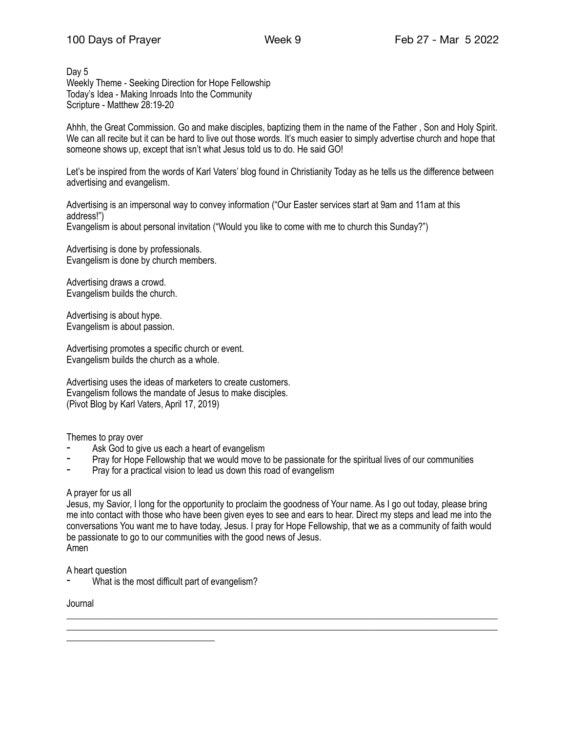Day 5 Weekly Theme - Seeking Direction for Hope Fellowship Today's Idea - Making Inroads Into the Community Scripture - Matthew 28:19-20

Ahhh, the Great Commission. Go and make disciples, baptizing them in the name of the Father , Son and Holy Spirit. We can all recite but it can be hard to live out those words. It's much easier to simply advertise church and hope that someone shows up, except that isn't what Jesus told us to do. He said GO!

Let's be inspired from the words of Karl Vaters' blog found in Christianity Today as he tells us the difference between advertising and evangelism.

Advertising is an impersonal way to convey information ("Our Easter services start at 9am and 11am at this address!") Evangelism is about personal invitation ("Would you like to come with me to church this Sunday?")

Advertising is done by professionals. Evangelism is done by church members.

Advertising draws a crowd. Evangelism builds the church.

Advertising is about hype. Evangelism is about passion.

Advertising promotes a specific church or event. Evangelism builds the church as a whole.

Advertising uses the ideas of marketers to create customers. Evangelism follows the mandate of Jesus to make disciples. (Pivot Blog by Karl Vaters, April 17, 2019)

Themes to pray over

- Ask God to give us each a heart of evangelism
- Pray for Hope Fellowship that we would move to be passionate for the spiritual lives of our communities
- Pray for a practical vision to lead us down this road of evangelism

## A prayer for us all

Jesus, my Savior, I long for the opportunity to proclaim the goodness of Your name. As I go out today, please bring me into contact with those who have been given eyes to see and ears to hear. Direct my steps and lead me into the conversations You want me to have today, Jesus. I pray for Hope Fellowship, that we as a community of faith would be passionate to go to our communities with the good news of Jesus. Amen

\_\_\_\_\_\_\_\_\_\_\_\_\_\_\_\_\_\_\_\_\_\_\_\_\_\_\_\_\_\_\_\_\_\_\_\_\_\_\_\_\_\_\_\_\_\_\_\_\_\_\_\_\_\_\_\_\_\_\_\_\_\_\_\_\_\_\_\_\_\_\_\_\_\_\_\_\_\_\_\_\_\_\_\_\_\_\_\_\_\_\_\_\_

A heart question

What is the most difficult part of evangelism?

Journal

\_\_\_\_\_\_\_\_\_\_\_\_\_\_\_\_\_\_\_\_\_\_\_\_\_\_\_\_\_\_\_\_\_\_\_\_\_\_\_\_\_\_\_\_\_\_\_\_\_\_\_\_\_\_\_\_\_\_\_\_\_\_\_\_\_\_\_\_\_\_\_\_\_\_\_\_\_\_\_\_\_\_\_\_\_\_\_\_\_\_\_\_\_ \_\_\_\_\_\_\_\_\_\_\_\_\_\_\_\_\_\_\_\_\_\_\_\_\_\_\_\_\_\_\_\_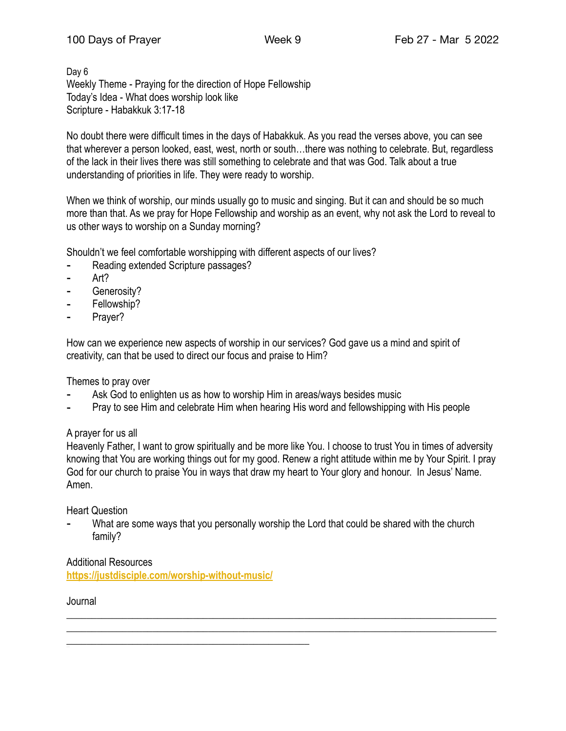Day 6 Weekly Theme - Praying for the direction of Hope Fellowship Today's Idea - What does worship look like Scripture - Habakkuk 3:17-18

No doubt there were difficult times in the days of Habakkuk. As you read the verses above, you can see that wherever a person looked, east, west, north or south…there was nothing to celebrate. But, regardless of the lack in their lives there was still something to celebrate and that was God. Talk about a true understanding of priorities in life. They were ready to worship.

When we think of worship, our minds usually go to music and singing. But it can and should be so much more than that. As we pray for Hope Fellowship and worship as an event, why not ask the Lord to reveal to us other ways to worship on a Sunday morning?

Shouldn't we feel comfortable worshipping with different aspects of our lives?

- Reading extended Scripture passages?
- Art?
- Generosity?
- Fellowship?
- Prayer?

How can we experience new aspects of worship in our services? God gave us a mind and spirit of creativity, can that be used to direct our focus and praise to Him?

Themes to pray over

- Ask God to enlighten us as how to worship Him in areas/ways besides music
- Pray to see Him and celebrate Him when hearing His word and fellowshipping with His people

# A prayer for us all

Heavenly Father, I want to grow spiritually and be more like You. I choose to trust You in times of adversity knowing that You are working things out for my good. Renew a right attitude within me by Your Spirit. I pray God for our church to praise You in ways that draw my heart to Your glory and honour. In Jesus' Name. Amen.

Heart Question

What are some ways that you personally worship the Lord that could be shared with the church family?

\_\_\_\_\_\_\_\_\_\_\_\_\_\_\_\_\_\_\_\_\_\_\_\_\_\_\_\_\_\_\_\_\_\_\_\_\_\_\_\_\_\_\_\_\_\_\_\_\_\_\_\_\_\_\_\_\_\_\_\_\_\_\_\_\_\_\_\_\_\_\_\_\_\_\_\_\_\_\_\_\_\_\_\_\_  $\_$  , and the set of the set of the set of the set of the set of the set of the set of the set of the set of the set of the set of the set of the set of the set of the set of the set of the set of the set of the set of th

Additional Resources **<https://justdisciple.com/worship-without-music/>**

\_\_\_\_\_\_\_\_\_\_\_\_\_\_\_\_\_\_\_\_\_\_\_\_\_\_\_\_\_\_\_\_\_\_\_\_\_\_\_\_\_\_\_\_\_\_\_\_

Journal